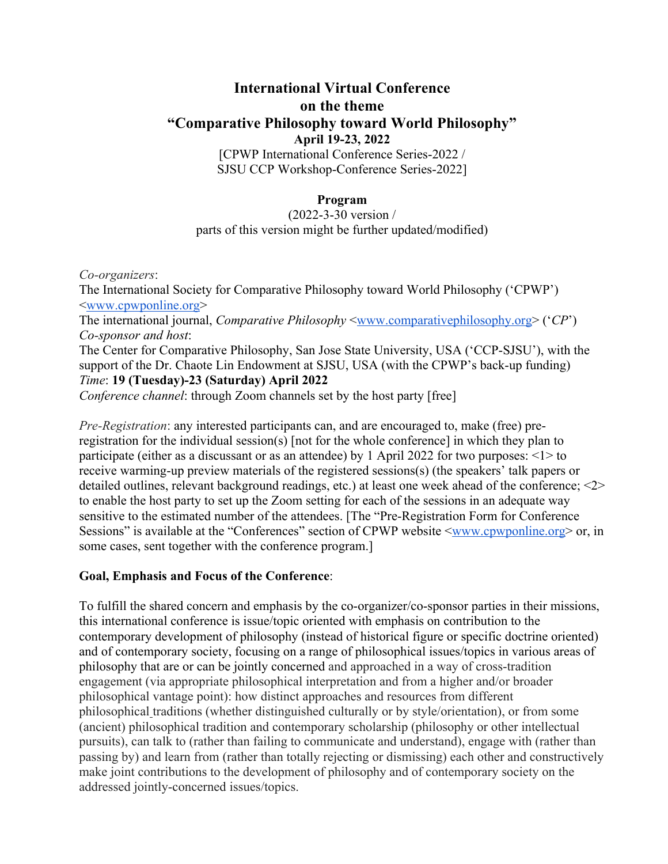# **International Virtual Conference on the theme "Comparative Philosophy toward World Philosophy" April 19-23, 2022** [CPWP International Conference Series-2022 /

SJSU CCP Workshop-Conference Series-2022]

### **Program**

#### (2022-3-30 version / parts of this version might be further updated/modified)

*Co-organizers*: The International Society for Comparative Philosophy toward World Philosophy ('CPWP') <www.cpwponline.org> The international journal, *Comparative Philosophy* <www.comparativephilosophy.org> ('*CP*') *Co-sponsor and host*: The Center for Comparative Philosophy, San Jose State University, USA ('CCP-SJSU'), with the support of the Dr. Chaote Lin Endowment at SJSU, USA (with the CPWP's back-up funding) *Time*: **19 (Tuesday)-23 (Saturday) April 2022** *Conference channel*: through Zoom channels set by the host party [free]

*Pre-Registration*: any interested participants can, and are encouraged to, make (free) preregistration for the individual session(s) [not for the whole conference] in which they plan to participate (either as a discussant or as an attendee) by 1 April 2022 for two purposes: <1> to receive warming-up preview materials of the registered sessions(s) (the speakers' talk papers or detailed outlines, relevant background readings, etc.) at least one week ahead of the conference; <2> to enable the host party to set up the Zoom setting for each of the sessions in an adequate way sensitive to the estimated number of the attendees. [The "Pre-Registration Form for Conference Sessions" is available at the "Conferences" section of CPWP website  $\langle$ www.cpwponline.org> or, in some cases, sent together with the conference program.]

### **Goal, Emphasis and Focus of the Conference**:

To fulfill the shared concern and emphasis by the co-organizer/co-sponsor parties in their missions, this international conference is issue/topic oriented with emphasis on contribution to the contemporary development of philosophy (instead of historical figure or specific doctrine oriented) and of contemporary society, focusing on a range of philosophical issues/topics in various areas of philosophy that are or can be jointly concerned and approached in a way of cross-tradition engagement (via appropriate philosophical interpretation and from a higher and/or broader philosophical vantage point): how distinct approaches and resources from different philosophical traditions (whether distinguished culturally or by style/orientation), or from some (ancient) philosophical tradition and contemporary scholarship (philosophy or other intellectual pursuits), can talk to (rather than failing to communicate and understand), engage with (rather than passing by) and learn from (rather than totally rejecting or dismissing) each other and constructively make joint contributions to the development of philosophy and of contemporary society on the addressed jointly-concerned issues/topics.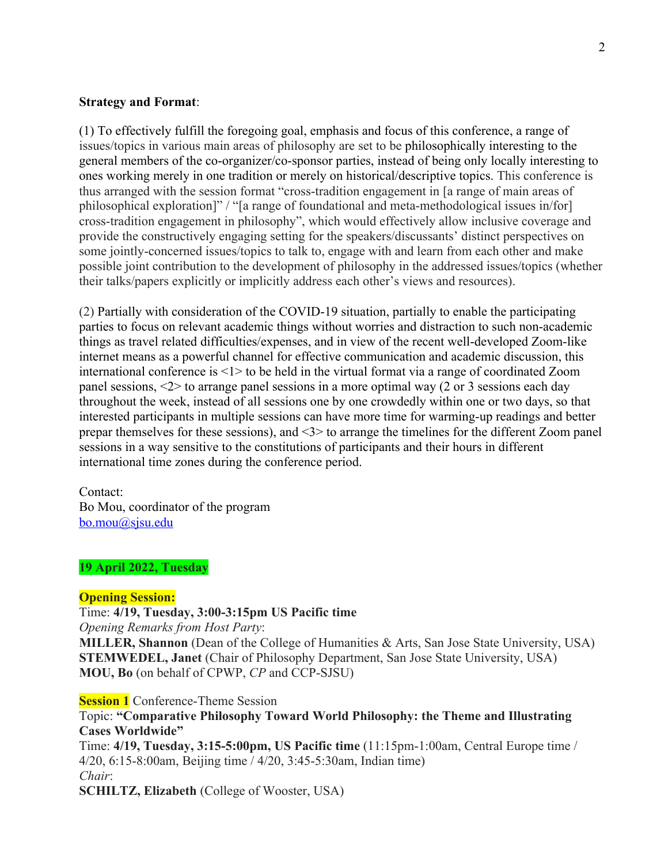#### **Strategy and Format**:

(1) To effectively fulfill the foregoing goal, emphasis and focus of this conference, a range of issues/topics in various main areas of philosophy are set to be philosophically interesting to the general members of the co-organizer/co-sponsor parties, instead of being only locally interesting to ones working merely in one tradition or merely on historical/descriptive topics. This conference is thus arranged with the session format "cross-tradition engagement in [a range of main areas of philosophical exploration]" / "[a range of foundational and meta-methodological issues in/for] cross-tradition engagement in philosophy", which would effectively allow inclusive coverage and provide the constructively engaging setting for the speakers/discussants' distinct perspectives on some jointly-concerned issues/topics to talk to, engage with and learn from each other and make possible joint contribution to the development of philosophy in the addressed issues/topics (whether their talks/papers explicitly or implicitly address each other's views and resources).

(2) Partially with consideration of the COVID-19 situation, partially to enable the participating parties to focus on relevant academic things without worries and distraction to such non-academic things as travel related difficulties/expenses, and in view of the recent well-developed Zoom-like internet means as a powerful channel for effective communication and academic discussion, this international conference is <1> to be held in the virtual format via a range of coordinated Zoom panel sessions, <2> to arrange panel sessions in a more optimal way (2 or 3 sessions each day throughout the week, instead of all sessions one by one crowdedly within one or two days, so that interested participants in multiple sessions can have more time for warming-up readings and better prepar themselves for these sessions), and <3> to arrange the timelines for the different Zoom panel sessions in a way sensitive to the constitutions of participants and their hours in different international time zones during the conference period.

Contact: Bo Mou, coordinator of the program bo.mou@sjsu.edu

#### **19 April 2022, Tuesday**

#### **Opening Session:**

Time: **4/19, Tuesday, 3:00-3:15pm US Pacific time**

*Opening Remarks from Host Party*:

**MILLER, Shannon** (Dean of the College of Humanities & Arts, San Jose State University, USA) **STEMWEDEL, Janet** (Chair of Philosophy Department, San Jose State University, USA) **MOU, Bo** (on behalf of CPWP, *CP* and CCP-SJSU)

**Session 1** Conference-Theme Session

Topic: **"Comparative Philosophy Toward World Philosophy: the Theme and Illustrating Cases Worldwide"** Time: **4/19, Tuesday, 3:15-5:00pm, US Pacific time** (11:15pm-1:00am, Central Europe time / 4/20, 6:15-8:00am, Beijing time / 4/20, 3:45-5:30am, Indian time) *Chair*:

**SCHILTZ, Elizabeth** (College of Wooster, USA)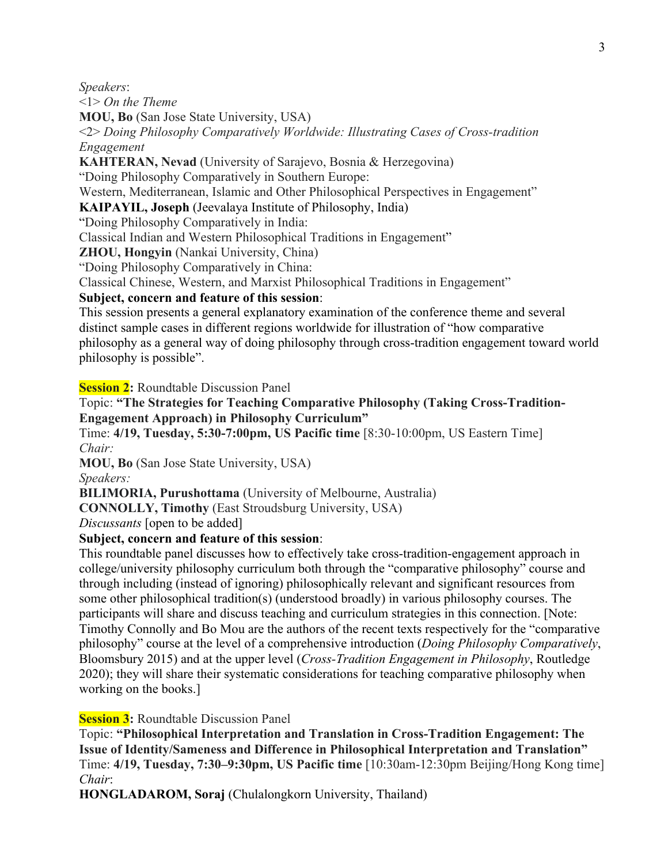*Speakers*:

<1> *On the Theme*

**MOU, Bo** (San Jose State University, USA)

<2> *Doing Philosophy Comparatively Worldwide: Illustrating Cases of Cross-tradition Engagement*

**KAHTERAN, Nevad** (University of Sarajevo, Bosnia & Herzegovina)

"Doing Philosophy Comparatively in Southern Europe:

Western, Mediterranean, Islamic and Other Philosophical Perspectives in Engagement"

### **KAIPAYIL, Joseph** (Jeevalaya Institute of Philosophy, India)

"Doing Philosophy Comparatively in India:

Classical Indian and Western Philosophical Traditions in Engagement"

**ZHOU, Hongyin** (Nankai University, China)

"Doing Philosophy Comparatively in China:

Classical Chinese, Western, and Marxist Philosophical Traditions in Engagement"

### **Subject, concern and feature of this session**:

This session presents a general explanatory examination of the conference theme and several distinct sample cases in different regions worldwide for illustration of "how comparative philosophy as a general way of doing philosophy through cross-tradition engagement toward world philosophy is possible".

**Session 2:** Roundtable Discussion Panel

## Topic: **"The Strategies for Teaching Comparative Philosophy (Taking Cross-Tradition-Engagement Approach) in Philosophy Curriculum"**

Time: **4/19, Tuesday, 5:30-7:00pm, US Pacific time** [8:30-10:00pm, US Eastern Time] *Chair:*

**MOU, Bo** (San Jose State University, USA)

*Speakers:*

**BILIMORIA, Purushottama** (University of Melbourne, Australia)

**CONNOLLY, Timothy** (East Stroudsburg University, USA)

*Discussants* [open to be added]

### **Subject, concern and feature of this session**:

This roundtable panel discusses how to effectively take cross-tradition-engagement approach in college/university philosophy curriculum both through the "comparative philosophy" course and through including (instead of ignoring) philosophically relevant and significant resources from some other philosophical tradition(s) (understood broadly) in various philosophy courses. The participants will share and discuss teaching and curriculum strategies in this connection. [Note: Timothy Connolly and Bo Mou are the authors of the recent texts respectively for the "comparative philosophy" course at the level of a comprehensive introduction (*Doing Philosophy Comparatively*, Bloomsbury 2015) and at the upper level (*Cross-Tradition Engagement in Philosophy*, Routledge 2020); they will share their systematic considerations for teaching comparative philosophy when working on the books.]

**Session 3:** Roundtable Discussion Panel

Topic: **"Philosophical Interpretation and Translation in Cross-Tradition Engagement: The Issue of Identity/Sameness and Difference in Philosophical Interpretation and Translation"** Time: **4/19, Tuesday, 7:30–9:30pm, US Pacific time** [10:30am-12:30pm Beijing/Hong Kong time] *Chair*:

**HONGLADAROM, Soraj** (Chulalongkorn University, Thailand)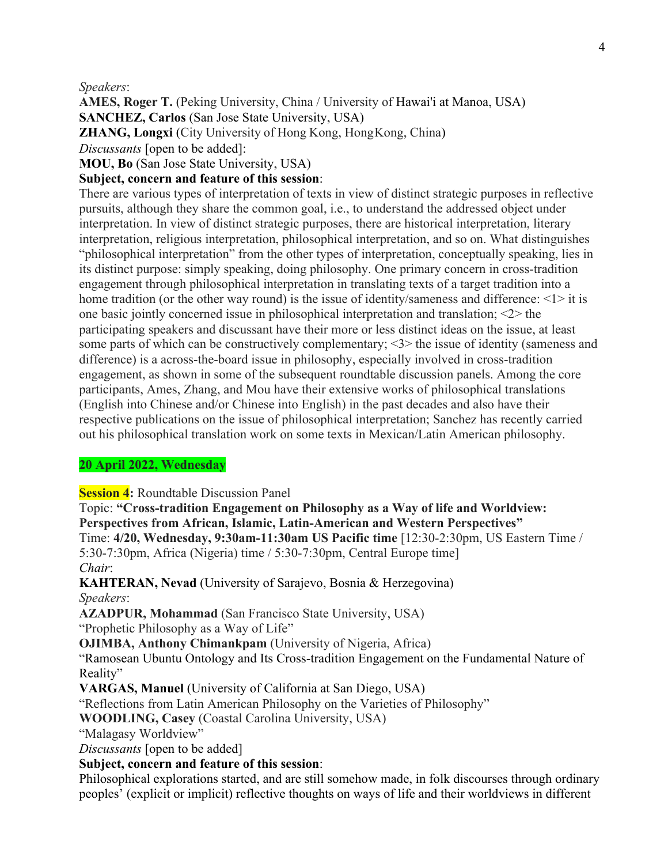#### *Speakers*:

**AMES, Roger T.** (Peking University, China / University of Hawai'i at Manoa, USA) **SANCHEZ, Carlos** (San Jose State University, USA) **ZHANG, Longxi** (City University of Hong Kong, HongKong, China)

*Discussants* [open to be added]:

**MOU, Bo** (San Jose State University, USA)

## **Subject, concern and feature of this session**:

There are various types of interpretation of texts in view of distinct strategic purposes in reflective pursuits, although they share the common goal, i.e., to understand the addressed object under interpretation. In view of distinct strategic purposes, there are historical interpretation, literary interpretation, religious interpretation, philosophical interpretation, and so on. What distinguishes "philosophical interpretation" from the other types of interpretation, conceptually speaking, lies in its distinct purpose: simply speaking, doing philosophy. One primary concern in cross-tradition engagement through philosophical interpretation in translating texts of a target tradition into a home tradition (or the other way round) is the issue of identity/sameness and difference:  $\langle 1 \rangle$  it is one basic jointly concerned issue in philosophical interpretation and translation; <2> the participating speakers and discussant have their more or less distinct ideas on the issue, at least some parts of which can be constructively complementary; <3> the issue of identity (sameness and difference) is a across-the-board issue in philosophy, especially involved in cross-tradition engagement, as shown in some of the subsequent roundtable discussion panels. Among the core participants, Ames, Zhang, and Mou have their extensive works of philosophical translations (English into Chinese and/or Chinese into English) in the past decades and also have their respective publications on the issue of philosophical interpretation; Sanchez has recently carried out his philosophical translation work on some texts in Mexican/Latin American philosophy.

### **20 April 2022, Wednesday**

**Session 4:** Roundtable Discussion Panel

Topic: **"Cross-tradition Engagement on Philosophy as a Way of life and Worldview: Perspectives from African, Islamic, Latin-American and Western Perspectives"** Time: **4/20, Wednesday, 9:30am-11:30am US Pacific time** [12:30-2:30pm, US Eastern Time / 5:30-7:30pm, Africa (Nigeria) time / 5:30-7:30pm, Central Europe time] *Chair*:

**KAHTERAN, Nevad** (University of Sarajevo, Bosnia & Herzegovina) *Speakers*:

**AZADPUR, Mohammad** (San Francisco State University, USA) "Prophetic Philosophy as a Way of Life"

**OJIMBA, Anthony Chimankpam** (University of Nigeria, Africa)

"Ramosean Ubuntu Ontology and Its Cross-tradition Engagement on the Fundamental Nature of Reality"

**VARGAS, Manuel** (University of California at San Diego, USA)

"Reflections from Latin American Philosophy on the Varieties of Philosophy"

**WOODLING, Casey** (Coastal Carolina University, USA)

"Malagasy Worldview"

*Discussants* [open to be added]

### **Subject, concern and feature of this session**:

Philosophical explorations started, and are still somehow made, in folk discourses through ordinary peoples' (explicit or implicit) reflective thoughts on ways of life and their worldviews in different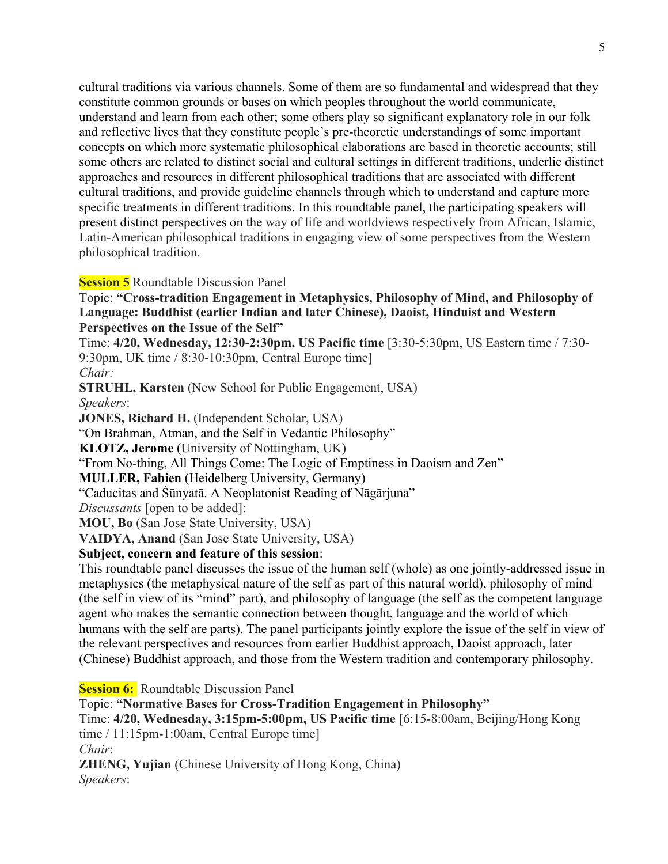cultural traditions via various channels. Some of them are so fundamental and widespread that they constitute common grounds or bases on which peoples throughout the world communicate, understand and learn from each other; some others play so significant explanatory role in our folk and reflective lives that they constitute people's pre-theoretic understandings of some important concepts on which more systematic philosophical elaborations are based in theoretic accounts; still some others are related to distinct social and cultural settings in different traditions, underlie distinct approaches and resources in different philosophical traditions that are associated with different cultural traditions, and provide guideline channels through which to understand and capture more specific treatments in different traditions. In this roundtable panel, the participating speakers will present distinct perspectives on the way of life and worldviews respectively from African, Islamic, Latin-American philosophical traditions in engaging view of some perspectives from the Western philosophical tradition.

### **Session 5** Roundtable Discussion Panel

Topic: **"Cross-tradition Engagement in Metaphysics, Philosophy of Mind, and Philosophy of Language: Buddhist (earlier Indian and later Chinese), Daoist, Hinduist and Western Perspectives on the Issue of the Self"**

Time: **4/20, Wednesday, 12:30-2:30pm, US Pacific time** [3:30-5:30pm, US Eastern time / 7:30- 9:30pm, UK time / 8:30-10:30pm, Central Europe time]

*Chair:*

**STRUHL, Karsten** (New School for Public Engagement, USA) *Speakers*: **JONES, Richard H.** (Independent Scholar, USA) "On Brahman, Atman, and the Self in Vedantic Philosophy" **KLOTZ, Jerome** (University of Nottingham, UK) "From No-thing, All Things Come: The Logic of Emptiness in Daoism and Zen" **MULLER, Fabien** (Heidelberg University, Germany) "Caducitas and Śūnyatā. A Neoplatonist Reading of Nāgārjuna" *Discussants* [open to be added]: **MOU, Bo** (San Jose State University, USA)

**VAIDYA, Anand** (San Jose State University, USA)

## **Subject, concern and feature of this session**:

This roundtable panel discusses the issue of the human self (whole) as one jointly-addressed issue in metaphysics (the metaphysical nature of the self as part of this natural world), philosophy of mind (the self in view of its "mind" part), and philosophy of language (the self as the competent language agent who makes the semantic connection between thought, language and the world of which humans with the self are parts). The panel participants jointly explore the issue of the self in view of the relevant perspectives and resources from earlier Buddhist approach, Daoist approach, later (Chinese) Buddhist approach, and those from the Western tradition and contemporary philosophy.

**Session 6:** Roundtable Discussion Panel

Topic: **"Normative Bases for Cross-Tradition Engagement in Philosophy"** Time: **4/20, Wednesday, 3:15pm-5:00pm, US Pacific time** [6:15-8:00am, Beijing/Hong Kong time / 11:15pm-1:00am, Central Europe time] *Chair*: **ZHENG, Yujian** (Chinese University of Hong Kong, China) *Speakers*: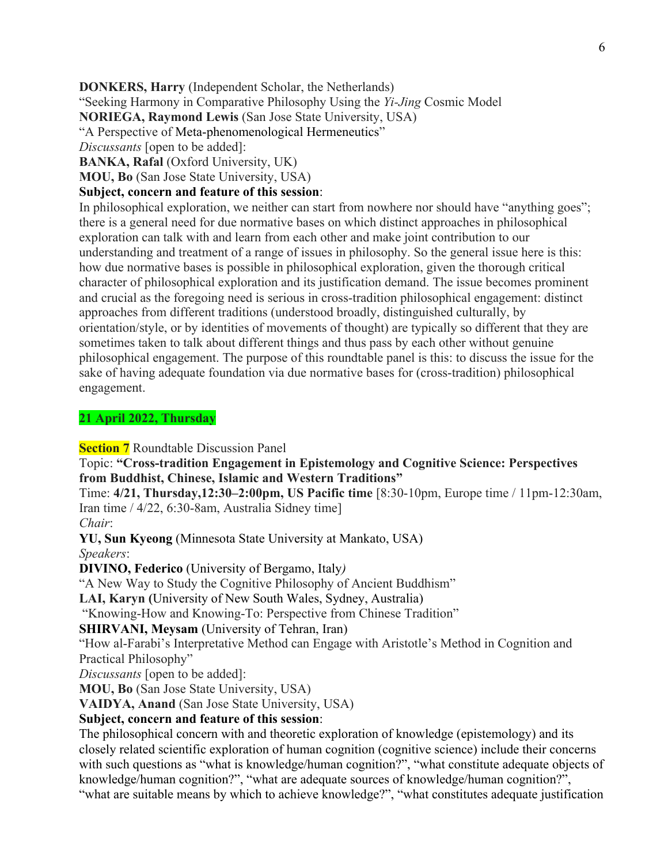**DONKERS, Harry** (Independent Scholar, the Netherlands)

"Seeking Harmony in Comparative Philosophy Using the *Yi-Jing* Cosmic Model

**NORIEGA, Raymond Lewis** (San Jose State University, USA)

"A Perspective of Meta-phenomenological Hermeneutics"

*Discussants* [open to be added]:

**BANKA, Rafal** (Oxford University, UK)

**MOU, Bo** (San Jose State University, USA)

#### **Subject, concern and feature of this session**:

In philosophical exploration, we neither can start from nowhere nor should have "anything goes"; there is a general need for due normative bases on which distinct approaches in philosophical exploration can talk with and learn from each other and make joint contribution to our understanding and treatment of a range of issues in philosophy. So the general issue here is this: how due normative bases is possible in philosophical exploration, given the thorough critical character of philosophical exploration and its justification demand. The issue becomes prominent and crucial as the foregoing need is serious in cross-tradition philosophical engagement: distinct approaches from different traditions (understood broadly, distinguished culturally, by orientation/style, or by identities of movements of thought) are typically so different that they are sometimes taken to talk about different things and thus pass by each other without genuine philosophical engagement. The purpose of this roundtable panel is this: to discuss the issue for the sake of having adequate foundation via due normative bases for (cross-tradition) philosophical engagement.

### **21 April 2022, Thursday**

**Section 7** Roundtable Discussion Panel

Topic: **"Cross-tradition Engagement in Epistemology and Cognitive Science: Perspectives from Buddhist, Chinese, Islamic and Western Traditions"**

Time: **4/21, Thursday,12:30–2:00pm, US Pacific time** [8:30-10pm, Europe time / 11pm-12:30am, Iran time / 4/22, 6:30-8am, Australia Sidney time]

*Chair*:

**YU, Sun Kyeong** (Minnesota State University at Mankato, USA)

*Speakers*:

**DIVINO, Federico** (University of Bergamo, Italy*)*

"A New Way to Study the Cognitive Philosophy of Ancient Buddhism"

**LAI, Karyn (**University of New South Wales, Sydney, Australia)

"Knowing-How and Knowing-To: Perspective from Chinese Tradition"

### **SHIRVANI, Meysam** (University of Tehran, Iran)

"How al-Farabi's Interpretative Method can Engage with Aristotle's Method in Cognition and Practical Philosophy"

*Discussants* [open to be added]:

**MOU, Bo** (San Jose State University, USA)

**VAIDYA, Anand** (San Jose State University, USA)

### **Subject, concern and feature of this session**:

The philosophical concern with and theoretic exploration of knowledge (epistemology) and its closely related scientific exploration of human cognition (cognitive science) include their concerns with such questions as "what is knowledge/human cognition?", "what constitute adequate objects of knowledge/human cognition?", "what are adequate sources of knowledge/human cognition?", "what are suitable means by which to achieve knowledge?", "what constitutes adequate justification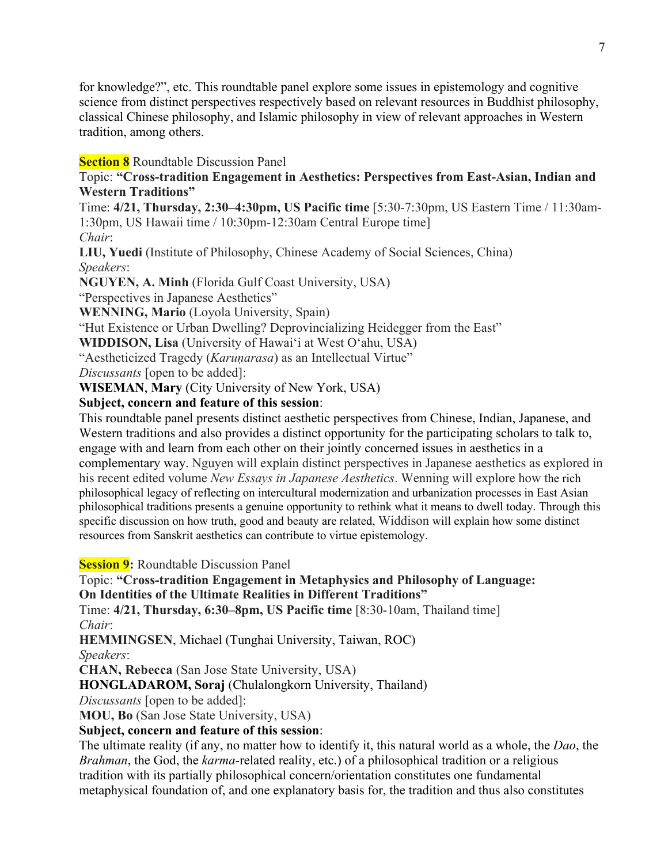for knowledge?", etc. This roundtable panel explore some issues in epistemology and cognitive science from distinct perspectives respectively based on relevant resources in Buddhist philosophy, classical Chinese philosophy, and Islamic philosophy in view of relevant approaches in Western tradition, among others.

## **Section 8** Roundtable Discussion Panel

Topic: **"Cross-tradition Engagement in Aesthetics: Perspectives from East-Asian, Indian and Western Traditions"**

Time: **4/21, Thursday, 2:30–4:30pm, US Pacific time** [5:30-7:30pm, US Eastern Time / 11:30am-1:30pm, US Hawaii time / 10:30pm-12:30am Central Europe time] *Chair*:

**LIU, Yuedi** (Institute of Philosophy, Chinese Academy of Social Sciences, China) *Speakers*:

**NGUYEN, A. Minh** (Florida Gulf Coast University, USA)

"Perspectives in Japanese Aesthetics"

**WENNING, Mario** (Loyola University, Spain)

"Hut Existence or Urban Dwelling? Deprovincializing Heidegger from the East"

**WIDDISON, Lisa** (University of Hawaiʻi at West Oʻahu, USA)

"Aestheticized Tragedy (*Karuṇarasa*) as an Intellectual Virtue"

*Discussants* [open to be added]:

**WISEMAN**, **Mary** (City University of New York, USA)

## **Subject, concern and feature of this session**:

This roundtable panel presents distinct aesthetic perspectives from Chinese, Indian, Japanese, and Western traditions and also provides a distinct opportunity for the participating scholars to talk to, engage with and learn from each other on their jointly concerned issues in aesthetics in a complementary way. Nguyen will explain distinct perspectives in Japanese aesthetics as explored in his recent edited volume *New Essays in Japanese Aesthetics*. Wenning will explore how the rich philosophical legacy of reflecting on intercultural modernization and urbanization processes in East Asian philosophical traditions presents a genuine opportunity to rethink what it means to dwell today. Through this specific discussion on how truth, good and beauty are related, Widdison will explain how some distinct resources from Sanskrit aesthetics can contribute to virtue epistemology.

**Session 9:** Roundtable Discussion Panel

Topic: **"Cross-tradition Engagement in Metaphysics and Philosophy of Language: On Identities of the Ultimate Realities in Different Traditions"**

Time: **4/21, Thursday, 6:30–8pm, US Pacific time** [8:30-10am, Thailand time] *Chair*:

**HEMMINGSEN**, Michael (Tunghai University, Taiwan, ROC)

*Speakers*:

**CHAN, Rebecca** (San Jose State University, USA)

**HONGLADAROM, Soraj** (Chulalongkorn University, Thailand)

*Discussants* [open to be added]:

**MOU, Bo** (San Jose State University, USA)

## **Subject, concern and feature of this session**:

The ultimate reality (if any, no matter how to identify it, this natural world as a whole, the *Dao*, the *Brahman*, the God, the *karma*-related reality, etc.) of a philosophical tradition or a religious tradition with its partially philosophical concern/orientation constitutes one fundamental metaphysical foundation of, and one explanatory basis for, the tradition and thus also constitutes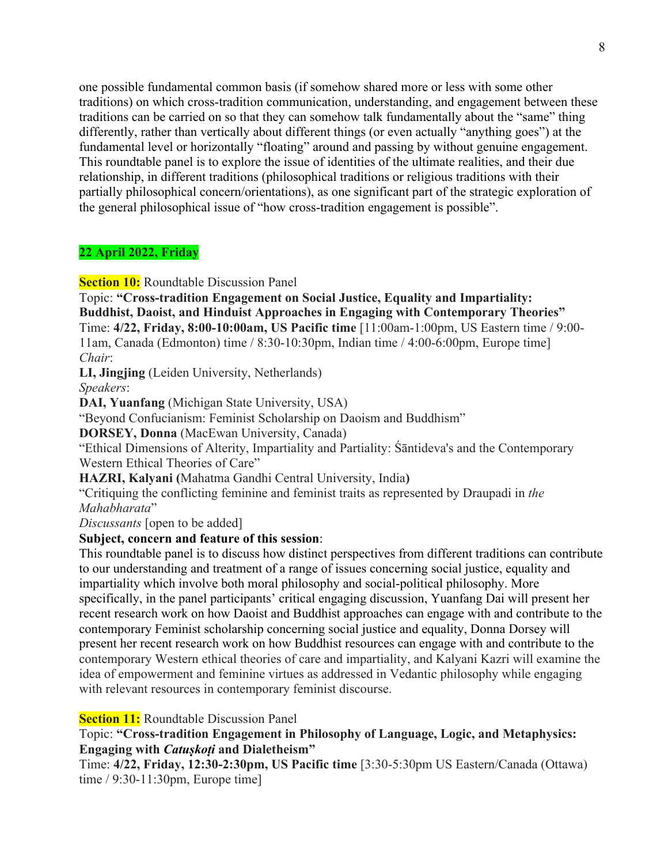one possible fundamental common basis (if somehow shared more or less with some other traditions) on which cross-tradition communication, understanding, and engagement between these traditions can be carried on so that they can somehow talk fundamentally about the "same" thing differently, rather than vertically about different things (or even actually "anything goes") at the fundamental level or horizontally "floating" around and passing by without genuine engagement. This roundtable panel is to explore the issue of identities of the ultimate realities, and their due relationship, in different traditions (philosophical traditions or religious traditions with their partially philosophical concern/orientations), as one significant part of the strategic exploration of the general philosophical issue of "how cross-tradition engagement is possible".

#### **22 April 2022, Friday**

**Section 10:** Roundtable Discussion Panel

Topic: **"Cross-tradition Engagement on Social Justice, Equality and Impartiality: Buddhist, Daoist, and Hinduist Approaches in Engaging with Contemporary Theories"** Time: **4/22, Friday, 8:00-10:00am, US Pacific time** [11:00am-1:00pm, US Eastern time / 9:00- 11am, Canada (Edmonton) time / 8:30-10:30pm, Indian time / 4:00-6:00pm, Europe time] *Chair*:

**LI, Jingjing** (Leiden University, Netherlands) *Speakers*:

**DAI, Yuanfang** (Michigan State University, USA)

"Beyond Confucianism: Feminist Scholarship on Daoism and Buddhism"

**DORSEY, Donna** (MacEwan University, Canada)

"Ethical Dimensions of Alterity, Impartiality and Partiality: Śāntideva's and the Contemporary Western Ethical Theories of Care"

**HAZRI, Kalyani (**Mahatma Gandhi Central University, India**)**

"Critiquing the conflicting feminine and feminist traits as represented by Draupadi in *the Mahabharata*"

*Discussants* [open to be added]

### **Subject, concern and feature of this session**:

This roundtable panel is to discuss how distinct perspectives from different traditions can contribute to our understanding and treatment of a range of issues concerning social justice, equality and impartiality which involve both moral philosophy and social-political philosophy. More specifically, in the panel participants' critical engaging discussion, Yuanfang Dai will present her recent research work on how Daoist and Buddhist approaches can engage with and contribute to the contemporary Feminist scholarship concerning social justice and equality, Donna Dorsey will present her recent research work on how Buddhist resources can engage with and contribute to the contemporary Western ethical theories of care and impartiality, and Kalyani Kazri will examine the idea of empowerment and feminine virtues as addressed in Vedantic philosophy while engaging with relevant resources in contemporary feminist discourse.

**Section 11:** Roundtable Discussion Panel

Topic: **"Cross-tradition Engagement in Philosophy of Language, Logic, and Metaphysics: Engaging with** *Catuṣkoṭi* **and Dialetheism"**

Time: **4/22, Friday, 12:30-2:30pm, US Pacific time** [3:30-5:30pm US Eastern/Canada (Ottawa) time / 9:30-11:30pm, Europe time]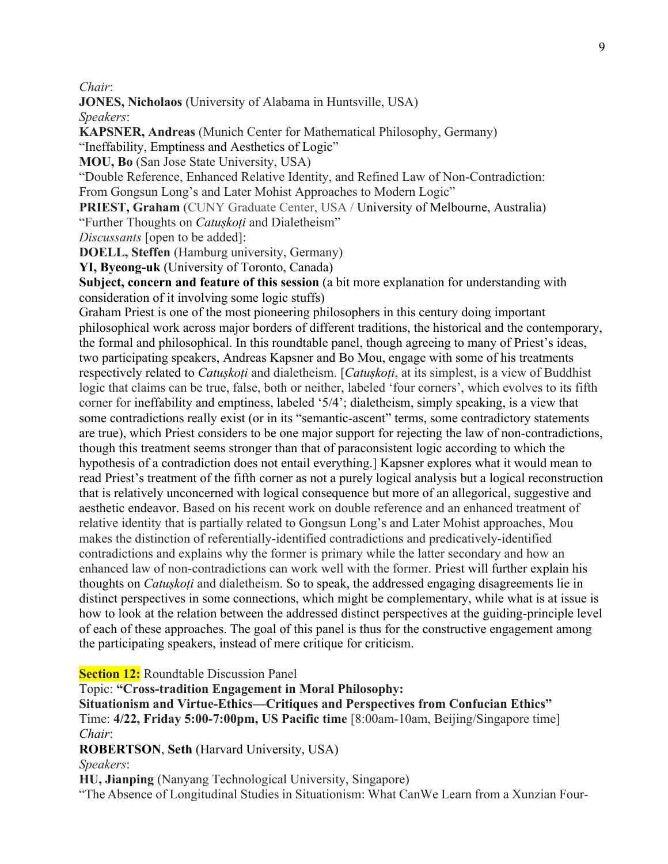*Chair*:

**JONES, Nicholaos** (University of Alabama in Huntsville, USA)

*Speakers*:

**KAPSNER, Andreas** (Munich Center for Mathematical Philosophy, Germany)

"Ineffability, Emptiness and Aesthetics of Logic"

**MOU, Bo** (San Jose State University, USA)

"Double Reference, Enhanced Relative Identity, and Refined Law of Non-Contradiction: From Gongsun Long's and Later Mohist Approaches to Modern Logic"

**PRIEST, Graham** (CUNY Graduate Center, USA / University of Melbourne, Australia) "Further Thoughts on *Catuṣkoṭi* and Dialetheism"

*Discussants* [open to be added]:

**DOELL, Steffen** (Hamburg university, Germany)

**YI, Byeong-uk** (University of Toronto, Canada)

**Subject, concern and feature of this session** (a bit more explanation for understanding with consideration of it involving some logic stuffs)

Graham Priest is one of the most pioneering philosophers in this century doing important philosophical work across major borders of different traditions, the historical and the contemporary, the formal and philosophical. In this roundtable panel, though agreeing to many of Priest's ideas, two participating speakers, Andreas Kapsner and Bo Mou, engage with some of his treatments respectively related to *Catuṣkoṭi* and dialetheism. [*Catuṣkoṭi*, at its simplest, is a view of Buddhist logic that claims can be true, false, both or neither, labeled 'four corners', which evolves to its fifth corner for ineffability and emptiness, labeled '5/4'; dialetheism, simply speaking, is a view that some contradictions really exist (or in its "semantic-ascent" terms, some contradictory statements are true), which Priest considers to be one major support for rejecting the law of non-contradictions, though this treatment seems stronger than that of paraconsistent logic according to which the hypothesis of a contradiction does not entail everything.] Kapsner explores what it would mean to read Priest's treatment of the fifth corner as not a purely logical analysis but a logical reconstruction that is relatively unconcerned with logical consequence but more of an allegorical, suggestive and aesthetic endeavor. Based on his recent work on double reference and an enhanced treatment of relative identity that is partially related to Gongsun Long's and Later Mohist approaches, Mou makes the distinction of referentially-identified contradictions and predicatively-identified contradictions and explains why the former is primary while the latter secondary and how an enhanced law of non-contradictions can work well with the former. Priest will further explain his thoughts on *Catuṣkoṭi* and dialetheism. So to speak, the addressed engaging disagreements lie in distinct perspectives in some connections, which might be complementary, while what is at issue is how to look at the relation between the addressed distinct perspectives at the guiding-principle level of each of these approaches. The goal of this panel is thus for the constructive engagement among the participating speakers, instead of mere critique for criticism.

**Section 12:** Roundtable Discussion Panel

Topic: **"Cross-tradition Engagement in Moral Philosophy:** 

**Situationism and Virtue-Ethics—Critiques and Perspectives from Confucian Ethics"** Time: **4/22, Friday 5:00-7:00pm, US Pacific time** [8:00am-10am, Beijing/Singapore time] *Chair*:

**ROBERTSON**, **Seth** (Harvard University, USA)

*Speakers*:

**HU, Jianping** (Nanyang Technological University, Singapore)

"The Absence of Longitudinal Studies in Situationism: What CanWe Learn from a Xunzian Four-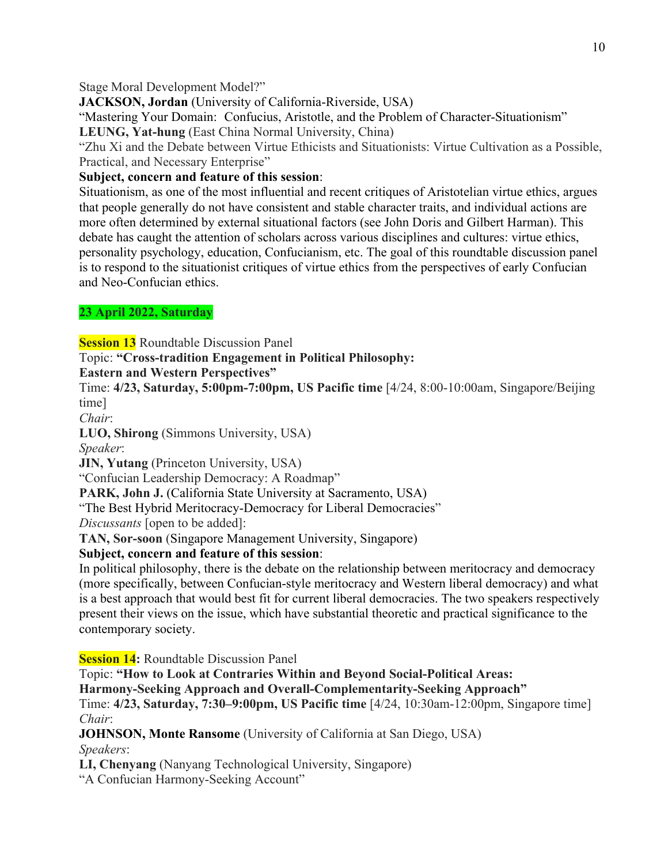### Stage Moral Development Model?"

**JACKSON, Jordan** (University of California-Riverside, USA)

"Mastering Your Domain: Confucius, Aristotle, and the Problem of Character-Situationism"

**LEUNG, Yat-hung** (East China Normal University, China)

"Zhu Xi and the Debate between Virtue Ethicists and Situationists: Virtue Cultivation as a Possible, Practical, and Necessary Enterprise"

## **Subject, concern and feature of this session**:

Situationism, as one of the most influential and recent critiques of Aristotelian virtue ethics, argues that people generally do not have consistent and stable character traits, and individual actions are more often determined by external situational factors (see John Doris and Gilbert Harman). This debate has caught the attention of scholars across various disciplines and cultures: virtue ethics, personality psychology, education, Confucianism, etc. The goal of this roundtable discussion panel is to respond to the situationist critiques of virtue ethics from the perspectives of early Confucian and Neo-Confucian ethics.

## **23 April 2022, Saturday**

**Session 13** Roundtable Discussion Panel

Topic: **"Cross-tradition Engagement in Political Philosophy:** 

**Eastern and Western Perspectives"**

Time: **4/23, Saturday, 5:00pm-7:00pm, US Pacific time** [4/24, 8:00-10:00am, Singapore/Beijing time]

*Chair*:

**LUO, Shirong** (Simmons University, USA)

*Speaker*:

**JIN, Yutang** (Princeton University, USA)

"Confucian Leadership Democracy: A Roadmap"

**PARK, John J.** (California State University at Sacramento, USA)

"The Best Hybrid Meritocracy-Democracy for Liberal Democracies"

*Discussants* [open to be added]:

**TAN, Sor-soon** (Singapore Management University, Singapore)

## **Subject, concern and feature of this session**:

In political philosophy, there is the debate on the relationship between meritocracy and democracy (more specifically, between Confucian-style meritocracy and Western liberal democracy) and what is a best approach that would best fit for current liberal democracies. The two speakers respectively present their views on the issue, which have substantial theoretic and practical significance to the contemporary society.

**Session 14:** Roundtable Discussion Panel

Topic: **"How to Look at Contraries Within and Beyond Social-Political Areas:**

**Harmony-Seeking Approach and Overall-Complementarity-Seeking Approach"**

Time: **4/23, Saturday, 7:30–9:00pm, US Pacific time** [4/24, 10:30am-12:00pm, Singapore time] *Chair*:

**JOHNSON, Monte Ransome** (University of California at San Diego, USA) *Speakers*:

**LI, Chenyang** (Nanyang Technological University, Singapore)

"A Confucian Harmony-Seeking Account"